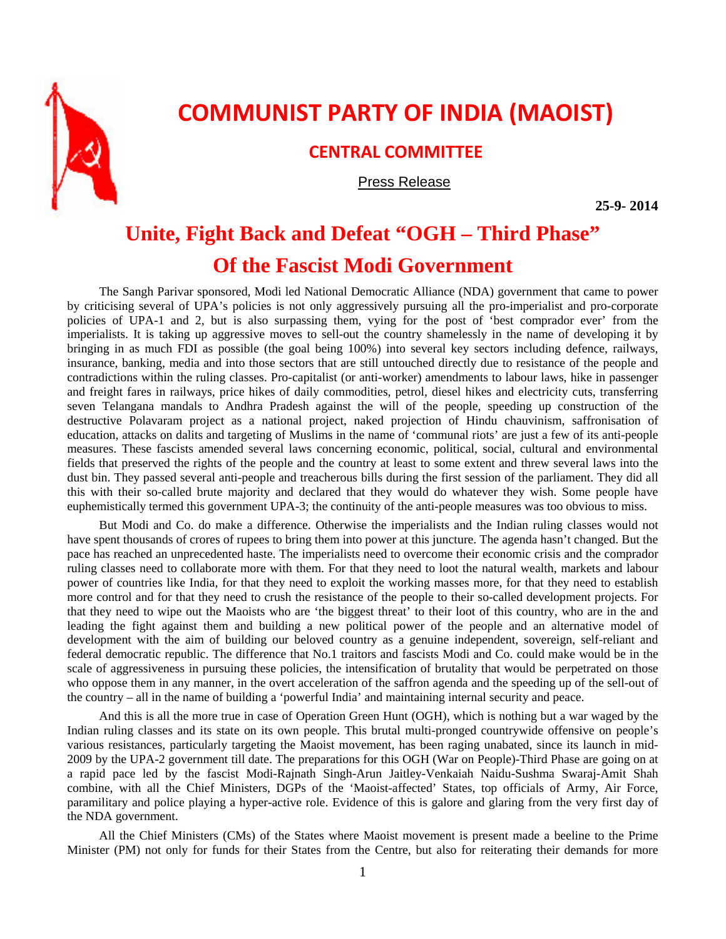

## **COMMUNIST PARTY OF INDIA (MAOIST)**

## **CENTRAL COMMITTEE**

Press Release

**25-9- 2014** 

## **Unite, Fight Back and Defeat "OGH – Third Phase" Of the Fascist Modi Government**

The Sangh Parivar sponsored, Modi led National Democratic Alliance (NDA) government that came to power by criticising several of UPA's policies is not only aggressively pursuing all the pro-imperialist and pro-corporate policies of UPA-1 and 2, but is also surpassing them, vying for the post of 'best comprador ever' from the imperialists. It is taking up aggressive moves to sell-out the country shamelessly in the name of developing it by bringing in as much FDI as possible (the goal being 100%) into several key sectors including defence, railways, insurance, banking, media and into those sectors that are still untouched directly due to resistance of the people and contradictions within the ruling classes. Pro-capitalist (or anti-worker) amendments to labour laws, hike in passenger and freight fares in railways, price hikes of daily commodities, petrol, diesel hikes and electricity cuts, transferring seven Telangana mandals to Andhra Pradesh against the will of the people, speeding up construction of the destructive Polavaram project as a national project, naked projection of Hindu chauvinism, saffronisation of education, attacks on dalits and targeting of Muslims in the name of 'communal riots' are just a few of its anti-people measures. These fascists amended several laws concerning economic, political, social, cultural and environmental fields that preserved the rights of the people and the country at least to some extent and threw several laws into the dust bin. They passed several anti-people and treacherous bills during the first session of the parliament. They did all this with their so-called brute majority and declared that they would do whatever they wish. Some people have euphemistically termed this government UPA-3; the continuity of the anti-people measures was too obvious to miss.

But Modi and Co. do make a difference. Otherwise the imperialists and the Indian ruling classes would not have spent thousands of crores of rupees to bring them into power at this juncture. The agenda hasn't changed. But the pace has reached an unprecedented haste. The imperialists need to overcome their economic crisis and the comprador ruling classes need to collaborate more with them. For that they need to loot the natural wealth, markets and labour power of countries like India, for that they need to exploit the working masses more, for that they need to establish more control and for that they need to crush the resistance of the people to their so-called development projects. For that they need to wipe out the Maoists who are 'the biggest threat' to their loot of this country, who are in the and leading the fight against them and building a new political power of the people and an alternative model of development with the aim of building our beloved country as a genuine independent, sovereign, self-reliant and federal democratic republic. The difference that No.1 traitors and fascists Modi and Co. could make would be in the scale of aggressiveness in pursuing these policies, the intensification of brutality that would be perpetrated on those who oppose them in any manner, in the overt acceleration of the saffron agenda and the speeding up of the sell-out of the country – all in the name of building a 'powerful India' and maintaining internal security and peace.

And this is all the more true in case of Operation Green Hunt (OGH), which is nothing but a war waged by the Indian ruling classes and its state on its own people. This brutal multi-pronged countrywide offensive on people's various resistances, particularly targeting the Maoist movement, has been raging unabated, since its launch in mid-2009 by the UPA-2 government till date. The preparations for this OGH (War on People)-Third Phase are going on at a rapid pace led by the fascist Modi-Rajnath Singh-Arun Jaitley-Venkaiah Naidu-Sushma Swaraj-Amit Shah combine, with all the Chief Ministers, DGPs of the 'Maoist-affected' States, top officials of Army, Air Force, paramilitary and police playing a hyper-active role. Evidence of this is galore and glaring from the very first day of the NDA government.

All the Chief Ministers (CMs) of the States where Maoist movement is present made a beeline to the Prime Minister (PM) not only for funds for their States from the Centre, but also for reiterating their demands for more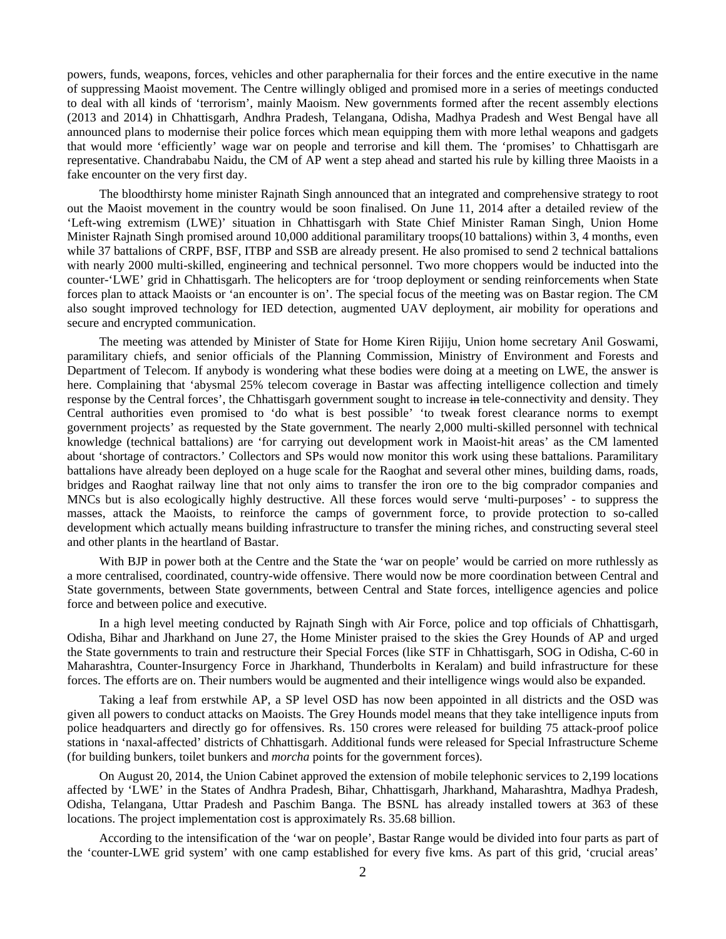powers, funds, weapons, forces, vehicles and other paraphernalia for their forces and the entire executive in the name of suppressing Maoist movement. The Centre willingly obliged and promised more in a series of meetings conducted to deal with all kinds of 'terrorism', mainly Maoism. New governments formed after the recent assembly elections (2013 and 2014) in Chhattisgarh, Andhra Pradesh, Telangana, Odisha, Madhya Pradesh and West Bengal have all announced plans to modernise their police forces which mean equipping them with more lethal weapons and gadgets that would more 'efficiently' wage war on people and terrorise and kill them. The 'promises' to Chhattisgarh are representative. Chandrababu Naidu, the CM of AP went a step ahead and started his rule by killing three Maoists in a fake encounter on the very first day.

The bloodthirsty home minister Rajnath Singh announced that an integrated and comprehensive strategy to root out the Maoist movement in the country would be soon finalised. On June 11, 2014 after a detailed review of the 'Left-wing extremism (LWE)' situation in Chhattisgarh with State Chief Minister Raman Singh, Union Home Minister Rajnath Singh promised around 10,000 additional paramilitary troops(10 battalions) within 3, 4 months, even while 37 battalions of CRPF, BSF, ITBP and SSB are already present. He also promised to send 2 technical battalions with nearly 2000 multi-skilled, engineering and technical personnel. Two more choppers would be inducted into the counter-'LWE' grid in Chhattisgarh. The helicopters are for 'troop deployment or sending reinforcements when State forces plan to attack Maoists or 'an encounter is on'. The special focus of the meeting was on Bastar region. The CM also sought improved technology for IED detection, augmented UAV deployment, air mobility for operations and secure and encrypted communication.

The meeting was attended by Minister of State for Home Kiren Rijiju, Union home secretary Anil Goswami, paramilitary chiefs, and senior officials of the Planning Commission, Ministry of Environment and Forests and Department of Telecom. If anybody is wondering what these bodies were doing at a meeting on LWE, the answer is here. Complaining that 'abysmal 25% telecom coverage in Bastar was affecting intelligence collection and timely response by the Central forces', the Chhattisgarh government sought to increase in tele-connectivity and density. They Central authorities even promised to 'do what is best possible' 'to tweak forest clearance norms to exempt government projects' as requested by the State government. The nearly 2,000 multi-skilled personnel with technical knowledge (technical battalions) are 'for carrying out development work in Maoist-hit areas' as the CM lamented about 'shortage of contractors.' Collectors and SPs would now monitor this work using these battalions. Paramilitary battalions have already been deployed on a huge scale for the Raoghat and several other mines, building dams, roads, bridges and Raoghat railway line that not only aims to transfer the iron ore to the big comprador companies and MNCs but is also ecologically highly destructive. All these forces would serve 'multi-purposes' - to suppress the masses, attack the Maoists, to reinforce the camps of government force, to provide protection to so-called development which actually means building infrastructure to transfer the mining riches, and constructing several steel and other plants in the heartland of Bastar.

With BJP in power both at the Centre and the State the 'war on people' would be carried on more ruthlessly as a more centralised, coordinated, country-wide offensive. There would now be more coordination between Central and State governments, between State governments, between Central and State forces, intelligence agencies and police force and between police and executive.

In a high level meeting conducted by Rajnath Singh with Air Force, police and top officials of Chhattisgarh, Odisha, Bihar and Jharkhand on June 27, the Home Minister praised to the skies the Grey Hounds of AP and urged the State governments to train and restructure their Special Forces (like STF in Chhattisgarh, SOG in Odisha, C-60 in Maharashtra, Counter-Insurgency Force in Jharkhand, Thunderbolts in Keralam) and build infrastructure for these forces. The efforts are on. Their numbers would be augmented and their intelligence wings would also be expanded.

Taking a leaf from erstwhile AP, a SP level OSD has now been appointed in all districts and the OSD was given all powers to conduct attacks on Maoists. The Grey Hounds model means that they take intelligence inputs from police headquarters and directly go for offensives. Rs. 150 crores were released for building 75 attack-proof police stations in 'naxal-affected' districts of Chhattisgarh. Additional funds were released for Special Infrastructure Scheme (for building bunkers, toilet bunkers and *morcha* points for the government forces).

On August 20, 2014, the Union Cabinet approved the extension of mobile telephonic services to 2,199 locations affected by 'LWE' in the States of Andhra Pradesh, Bihar, Chhattisgarh, Jharkhand, Maharashtra, Madhya Pradesh, Odisha, Telangana, Uttar Pradesh and Paschim Banga. The BSNL has already installed towers at 363 of these locations. The project implementation cost is approximately Rs. 35.68 billion.

According to the intensification of the 'war on people', Bastar Range would be divided into four parts as part of the 'counter-LWE grid system' with one camp established for every five kms. As part of this grid, 'crucial areas'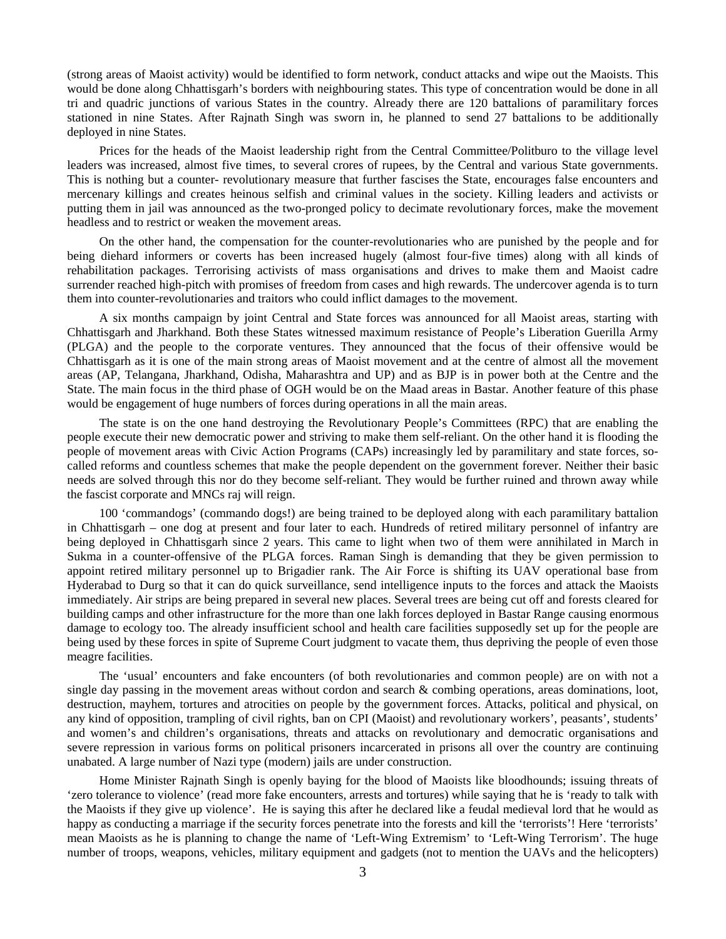(strong areas of Maoist activity) would be identified to form network, conduct attacks and wipe out the Maoists. This would be done along Chhattisgarh's borders with neighbouring states. This type of concentration would be done in all tri and quadric junctions of various States in the country. Already there are 120 battalions of paramilitary forces stationed in nine States. After Rajnath Singh was sworn in, he planned to send 27 battalions to be additionally deployed in nine States.

Prices for the heads of the Maoist leadership right from the Central Committee/Politburo to the village level leaders was increased, almost five times, to several crores of rupees, by the Central and various State governments. This is nothing but a counter- revolutionary measure that further fascises the State, encourages false encounters and mercenary killings and creates heinous selfish and criminal values in the society. Killing leaders and activists or putting them in jail was announced as the two-pronged policy to decimate revolutionary forces, make the movement headless and to restrict or weaken the movement areas.

On the other hand, the compensation for the counter-revolutionaries who are punished by the people and for being diehard informers or coverts has been increased hugely (almost four-five times) along with all kinds of rehabilitation packages. Terrorising activists of mass organisations and drives to make them and Maoist cadre surrender reached high-pitch with promises of freedom from cases and high rewards. The undercover agenda is to turn them into counter-revolutionaries and traitors who could inflict damages to the movement.

A six months campaign by joint Central and State forces was announced for all Maoist areas, starting with Chhattisgarh and Jharkhand. Both these States witnessed maximum resistance of People's Liberation Guerilla Army (PLGA) and the people to the corporate ventures. They announced that the focus of their offensive would be Chhattisgarh as it is one of the main strong areas of Maoist movement and at the centre of almost all the movement areas (AP, Telangana, Jharkhand, Odisha, Maharashtra and UP) and as BJP is in power both at the Centre and the State. The main focus in the third phase of OGH would be on the Maad areas in Bastar. Another feature of this phase would be engagement of huge numbers of forces during operations in all the main areas.

The state is on the one hand destroying the Revolutionary People's Committees (RPC) that are enabling the people execute their new democratic power and striving to make them self-reliant. On the other hand it is flooding the people of movement areas with Civic Action Programs (CAPs) increasingly led by paramilitary and state forces, socalled reforms and countless schemes that make the people dependent on the government forever. Neither their basic needs are solved through this nor do they become self-reliant. They would be further ruined and thrown away while the fascist corporate and MNCs raj will reign.

100 'commandogs' (commando dogs!) are being trained to be deployed along with each paramilitary battalion in Chhattisgarh – one dog at present and four later to each. Hundreds of retired military personnel of infantry are being deployed in Chhattisgarh since 2 years. This came to light when two of them were annihilated in March in Sukma in a counter-offensive of the PLGA forces. Raman Singh is demanding that they be given permission to appoint retired military personnel up to Brigadier rank. The Air Force is shifting its UAV operational base from Hyderabad to Durg so that it can do quick surveillance, send intelligence inputs to the forces and attack the Maoists immediately. Air strips are being prepared in several new places. Several trees are being cut off and forests cleared for building camps and other infrastructure for the more than one lakh forces deployed in Bastar Range causing enormous damage to ecology too. The already insufficient school and health care facilities supposedly set up for the people are being used by these forces in spite of Supreme Court judgment to vacate them, thus depriving the people of even those meagre facilities.

The 'usual' encounters and fake encounters (of both revolutionaries and common people) are on with not a single day passing in the movement areas without cordon and search & combing operations, areas dominations, loot, destruction, mayhem, tortures and atrocities on people by the government forces. Attacks, political and physical, on any kind of opposition, trampling of civil rights, ban on CPI (Maoist) and revolutionary workers', peasants', students' and women's and children's organisations, threats and attacks on revolutionary and democratic organisations and severe repression in various forms on political prisoners incarcerated in prisons all over the country are continuing unabated. A large number of Nazi type (modern) jails are under construction.

Home Minister Rajnath Singh is openly baying for the blood of Maoists like bloodhounds; issuing threats of 'zero tolerance to violence' (read more fake encounters, arrests and tortures) while saying that he is 'ready to talk with the Maoists if they give up violence'. He is saying this after he declared like a feudal medieval lord that he would as happy as conducting a marriage if the security forces penetrate into the forests and kill the 'terrorists'! Here 'terrorists' mean Maoists as he is planning to change the name of 'Left-Wing Extremism' to 'Left-Wing Terrorism'. The huge number of troops, weapons, vehicles, military equipment and gadgets (not to mention the UAVs and the helicopters)